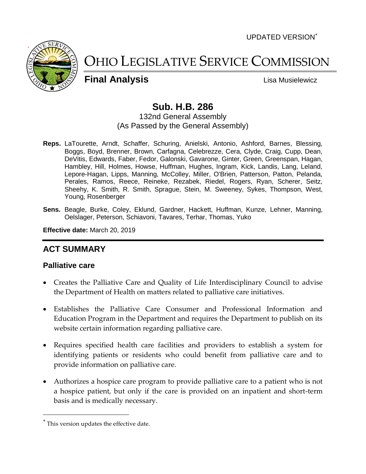UPDATED VERSION



OHIO LEGISLATIVE SERVICE COMMISSION

**Final Analysis Lisa Musielewicz** 

# **Sub. H.B. 286**

#### 132nd General Assembly (As Passed by the General Assembly)

- **Reps.** LaTourette, Arndt, Schaffer, Schuring, Anielski, Antonio, Ashford, Barnes, Blessing, Boggs, Boyd, Brenner, Brown, Carfagna, Celebrezze, Cera, Clyde, Craig, Cupp, Dean, DeVitis, Edwards, Faber, Fedor, Galonski, Gavarone, Ginter, Green, Greenspan, Hagan, Hambley, Hill, Holmes, Howse, Huffman, Hughes, Ingram, Kick, Landis, Lang, Leland, Lepore-Hagan, Lipps, Manning, McColley, Miller, O'Brien, Patterson, Patton, Pelanda, Perales, Ramos, Reece, Reineke, Rezabek, Riedel, Rogers, Ryan, Scherer, Seitz, Sheehy, K. Smith, R. Smith, Sprague, Stein, M. Sweeney, Sykes, Thompson, West, Young, Rosenberger
- **Sens.** Beagle, Burke, Coley, Eklund, Gardner, Hackett, Huffman, Kunze, Lehner, Manning, Oelslager, Peterson, Schiavoni, Tavares, Terhar, Thomas, Yuko

**Effective date:** March 20, 2019

## **ACT SUMMARY**

#### **Palliative care**

- Creates the Palliative Care and Quality of Life Interdisciplinary Council to advise the Department of Health on matters related to palliative care initiatives.
- Establishes the Palliative Care Consumer and Professional Information and Education Program in the Department and requires the Department to publish on its website certain information regarding palliative care.
- Requires specified health care facilities and providers to establish a system for identifying patients or residents who could benefit from palliative care and to provide information on palliative care.
- Authorizes a hospice care program to provide palliative care to a patient who is not a hospice patient, but only if the care is provided on an inpatient and short-term basis and is medically necessary.

 $\overline{a}$ 

This version updates the effective date.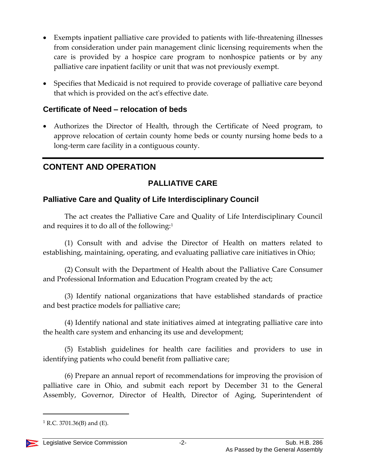- Exempts inpatient palliative care provided to patients with life-threatening illnesses from consideration under pain management clinic licensing requirements when the care is provided by a hospice care program to nonhospice patients or by any palliative care inpatient facility or unit that was not previously exempt.
- Specifies that Medicaid is not required to provide coverage of palliative care beyond that which is provided on the act's effective date.

### **Certificate of Need – relocation of beds**

 Authorizes the Director of Health, through the Certificate of Need program, to approve relocation of certain county home beds or county nursing home beds to a long-term care facility in a contiguous county.

## **CONTENT AND OPERATION**

### **PALLIATIVE CARE**

#### **Palliative Care and Quality of Life Interdisciplinary Council**

The act creates the Palliative Care and Quality of Life Interdisciplinary Council and requires it to do all of the following:<sup>1</sup>

(1) Consult with and advise the Director of Health on matters related to establishing, maintaining, operating, and evaluating palliative care initiatives in Ohio;

(2) Consult with the Department of Health about the Palliative Care Consumer and Professional Information and Education Program created by the act;

(3) Identify national organizations that have established standards of practice and best practice models for palliative care;

(4) Identify national and state initiatives aimed at integrating palliative care into the health care system and enhancing its use and development;

(5) Establish guidelines for health care facilities and providers to use in identifying patients who could benefit from palliative care;

(6) Prepare an annual report of recommendations for improving the provision of palliative care in Ohio, and submit each report by December 31 to the General Assembly, Governor, Director of Health, Director of Aging, Superintendent of

 $1$  R.C. 3701.36(B) and (E).

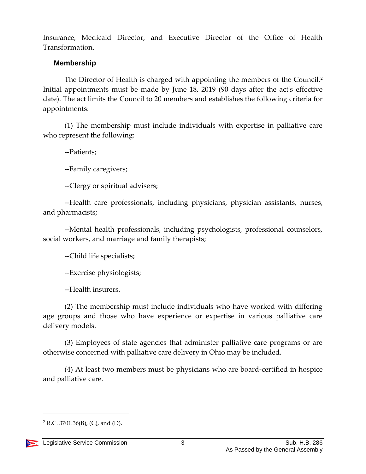Insurance, Medicaid Director, and Executive Director of the Office of Health Transformation.

#### **Membership**

The Director of Health is charged with appointing the members of the Council.<sup>2</sup> Initial appointments must be made by June 18, 2019 (90 days after the act's effective date). The act limits the Council to 20 members and establishes the following criteria for appointments:

(1) The membership must include individuals with expertise in palliative care who represent the following:

--Patients;

--Family caregivers;

--Clergy or spiritual advisers;

--Health care professionals, including physicians, physician assistants, nurses, and pharmacists;

--Mental health professionals, including psychologists, professional counselors, social workers, and marriage and family therapists;

--Child life specialists;

--Exercise physiologists;

--Health insurers.

(2) The membership must include individuals who have worked with differing age groups and those who have experience or expertise in various palliative care delivery models.

(3) Employees of state agencies that administer palliative care programs or are otherwise concerned with palliative care delivery in Ohio may be included.

(4) At least two members must be physicians who are board-certified in hospice and palliative care.

 $2$  R.C. 3701.36(B), (C), and (D).

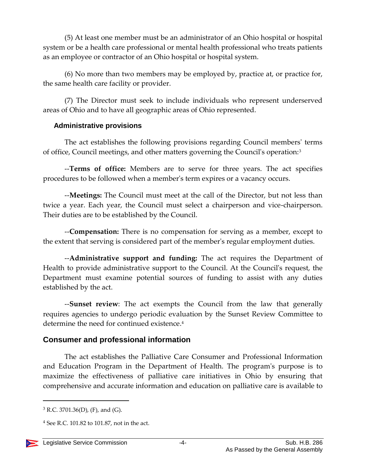(5) At least one member must be an administrator of an Ohio hospital or hospital system or be a health care professional or mental health professional who treats patients as an employee or contractor of an Ohio hospital or hospital system.

(6) No more than two members may be employed by, practice at, or practice for, the same health care facility or provider.

(7) The Director must seek to include individuals who represent underserved areas of Ohio and to have all geographic areas of Ohio represented.

#### **Administrative provisions**

The act establishes the following provisions regarding Council members' terms of office, Council meetings, and other matters governing the Council's operation:<sup>3</sup>

--**Terms of office:** Members are to serve for three years. The act specifies procedures to be followed when a member's term expires or a vacancy occurs.

--**Meetings:** The Council must meet at the call of the Director, but not less than twice a year. Each year, the Council must select a chairperson and vice-chairperson. Their duties are to be established by the Council.

--**Compensation:** There is no compensation for serving as a member, except to the extent that serving is considered part of the member's regular employment duties.

--**Administrative support and funding:** The act requires the Department of Health to provide administrative support to the Council. At the Council's request, the Department must examine potential sources of funding to assist with any duties established by the act.

--**Sunset review**: The act exempts the Council from the law that generally requires agencies to undergo periodic evaluation by the Sunset Review Committee to determine the need for continued existence. 4

#### **Consumer and professional information**

The act establishes the Palliative Care Consumer and Professional Information and Education Program in the Department of Health. The program's purpose is to maximize the effectiveness of palliative care initiatives in Ohio by ensuring that comprehensive and accurate information and education on palliative care is available to

 $4$  See R.C. 101.82 to 101.87, not in the act.



 $3$  R.C. 3701.36(D), (F), and (G).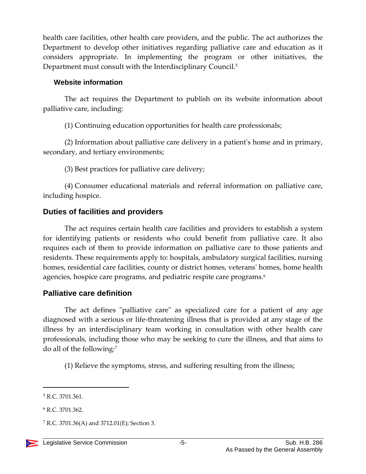health care facilities, other health care providers, and the public. The act authorizes the Department to develop other initiatives regarding palliative care and education as it considers appropriate. In implementing the program or other initiatives, the Department must consult with the Interdisciplinary Council. 5

#### **Website information**

The act requires the Department to publish on its website information about palliative care, including:

(1) Continuing education opportunities for health care professionals;

(2) Information about palliative care delivery in a patient's home and in primary, secondary, and tertiary environments;

(3) Best practices for palliative care delivery;

(4) Consumer educational materials and referral information on palliative care, including hospice.

## **Duties of facilities and providers**

The act requires certain health care facilities and providers to establish a system for identifying patients or residents who could benefit from palliative care. It also requires each of them to provide information on palliative care to those patients and residents. These requirements apply to: hospitals, ambulatory surgical facilities, nursing homes, residential care facilities, county or district homes, veterans' homes, home health agencies, hospice care programs, and pediatric respite care programs.<sup>6</sup>

## **Palliative care definition**

The act defines "palliative care" as specialized care for a patient of any age diagnosed with a serious or life-threatening illness that is provided at any stage of the illness by an interdisciplinary team working in consultation with other health care professionals, including those who may be seeking to cure the illness, and that aims to do all of the following:<sup>7</sup>

(1) Relieve the symptoms, stress, and suffering resulting from the illness;

 $7$  R.C. 3701.36(A) and 3712.01(E); Section 3.



<sup>5</sup> R.C. 3701.361.

<sup>6</sup> R.C. 3701.362.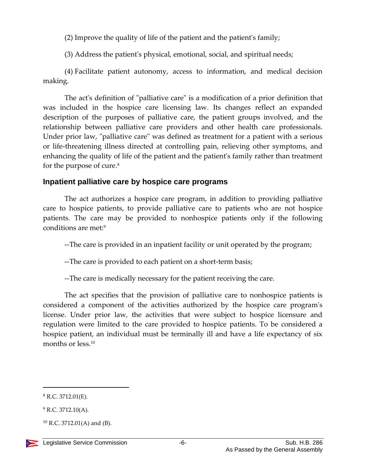(2) Improve the quality of life of the patient and the patient's family;

(3) Address the patient's physical, emotional, social, and spiritual needs;

(4) Facilitate patient autonomy, access to information, and medical decision making.

The act's definition of "palliative care" is a modification of a prior definition that was included in the hospice care licensing law. Its changes reflect an expanded description of the purposes of palliative care, the patient groups involved, and the relationship between palliative care providers and other health care professionals. Under prior law, "palliative care" was defined as treatment for a patient with a serious or life-threatening illness directed at controlling pain, relieving other symptoms, and enhancing the quality of life of the patient and the patient's family rather than treatment for the purpose of cure.<sup>8</sup>

### **Inpatient palliative care by hospice care programs**

The act authorizes a hospice care program, in addition to providing palliative care to hospice patients, to provide palliative care to patients who are not hospice patients. The care may be provided to nonhospice patients only if the following conditions are met:<sup>9</sup>

--The care is provided in an inpatient facility or unit operated by the program;

--The care is provided to each patient on a short-term basis;

--The care is medically necessary for the patient receiving the care.

The act specifies that the provision of palliative care to nonhospice patients is considered a component of the activities authorized by the hospice care program's license. Under prior law, the activities that were subject to hospice licensure and regulation were limited to the care provided to hospice patients. To be considered a hospice patient, an individual must be terminally ill and have a life expectancy of six months or less.<sup>10</sup>

 $8$  R.C. 3712.01(E).

 $9$  R.C. 3712.10(A).

 $10$  R.C. 3712.01(A) and (B).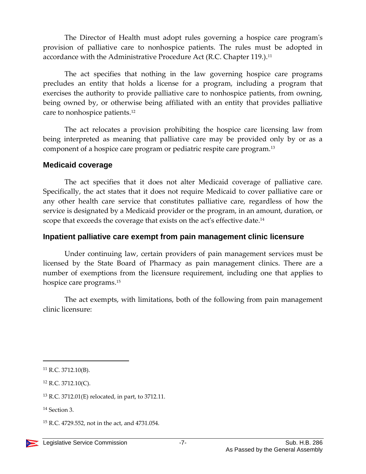The Director of Health must adopt rules governing a hospice care program's provision of palliative care to nonhospice patients. The rules must be adopted in accordance with the Administrative Procedure Act (R.C. Chapter 119.).<sup>11</sup>

The act specifies that nothing in the law governing hospice care programs precludes an entity that holds a license for a program, including a program that exercises the authority to provide palliative care to nonhospice patients, from owning, being owned by, or otherwise being affiliated with an entity that provides palliative care to nonhospice patients.<sup>12</sup>

The act relocates a provision prohibiting the hospice care licensing law from being interpreted as meaning that palliative care may be provided only by or as a component of a hospice care program or pediatric respite care program.<sup>13</sup>

#### **Medicaid coverage**

The act specifies that it does not alter Medicaid coverage of palliative care. Specifically, the act states that it does not require Medicaid to cover palliative care or any other health care service that constitutes palliative care, regardless of how the service is designated by a Medicaid provider or the program, in an amount, duration, or scope that exceeds the coverage that exists on the act's effective date.<sup>14</sup>

#### **Inpatient palliative care exempt from pain management clinic licensure**

Under continuing law, certain providers of pain management services must be licensed by the State Board of Pharmacy as pain management clinics. There are a number of exemptions from the licensure requirement, including one that applies to hospice care programs.<sup>15</sup>

The act exempts, with limitations, both of the following from pain management clinic licensure:

 $11$  R.C. 3712.10(B).

 $12$  R.C. 3712.10(C).

<sup>13</sup> R.C. 3712.01(E) relocated, in part, to 3712.11.

<sup>14</sup> Section 3.

<sup>15</sup> R.C. 4729.552, not in the act, and 4731.054.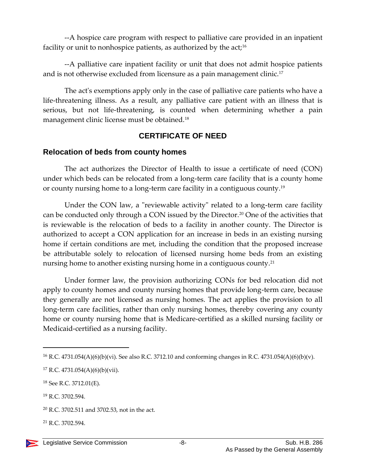--A hospice care program with respect to palliative care provided in an inpatient facility or unit to nonhospice patients, as authorized by the act;<sup>16</sup>

--A palliative care inpatient facility or unit that does not admit hospice patients and is not otherwise excluded from licensure as a pain management clinic.<sup>17</sup>

The act's exemptions apply only in the case of palliative care patients who have a life-threatening illness. As a result, any palliative care patient with an illness that is serious, but not life-threatening, is counted when determining whether a pain management clinic license must be obtained.<sup>18</sup>

### **CERTIFICATE OF NEED**

### **Relocation of beds from county homes**

The act authorizes the Director of Health to issue a certificate of need (CON) under which beds can be relocated from a long-term care facility that is a county home or county nursing home to a long-term care facility in a contiguous county.<sup>19</sup>

Under the CON law, a "reviewable activity" related to a long-term care facility can be conducted only through a CON issued by the Director.<sup>20</sup> One of the activities that is reviewable is the relocation of beds to a facility in another county. The Director is authorized to accept a CON application for an increase in beds in an existing nursing home if certain conditions are met, including the condition that the proposed increase be attributable solely to relocation of licensed nursing home beds from an existing nursing home to another existing nursing home in a contiguous county.<sup>21</sup>

Under former law, the provision authorizing CONs for bed relocation did not apply to county homes and county nursing homes that provide long-term care, because they generally are not licensed as nursing homes. The act applies the provision to all long-term care facilities, rather than only nursing homes, thereby covering any county home or county nursing home that is Medicare-certified as a skilled nursing facility or Medicaid-certified as a nursing facility.

 $\overline{a}$ 

<sup>&</sup>lt;sup>16</sup> R.C. 4731.054(A)(6)(b)(vi). See also R.C. 3712.10 and conforming changes in R.C. 4731.054(A)(6)(b)(v).

 $17$  R.C. 4731.054(A)(6)(b)(vii).

<sup>18</sup> See R.C. 3712.01(E).

<sup>&</sup>lt;sup>19</sup> R.C. 3702.594.

<sup>20</sup> R.C. 3702.511 and 3702.53, not in the act.

<sup>21</sup> R.C. 3702.594.